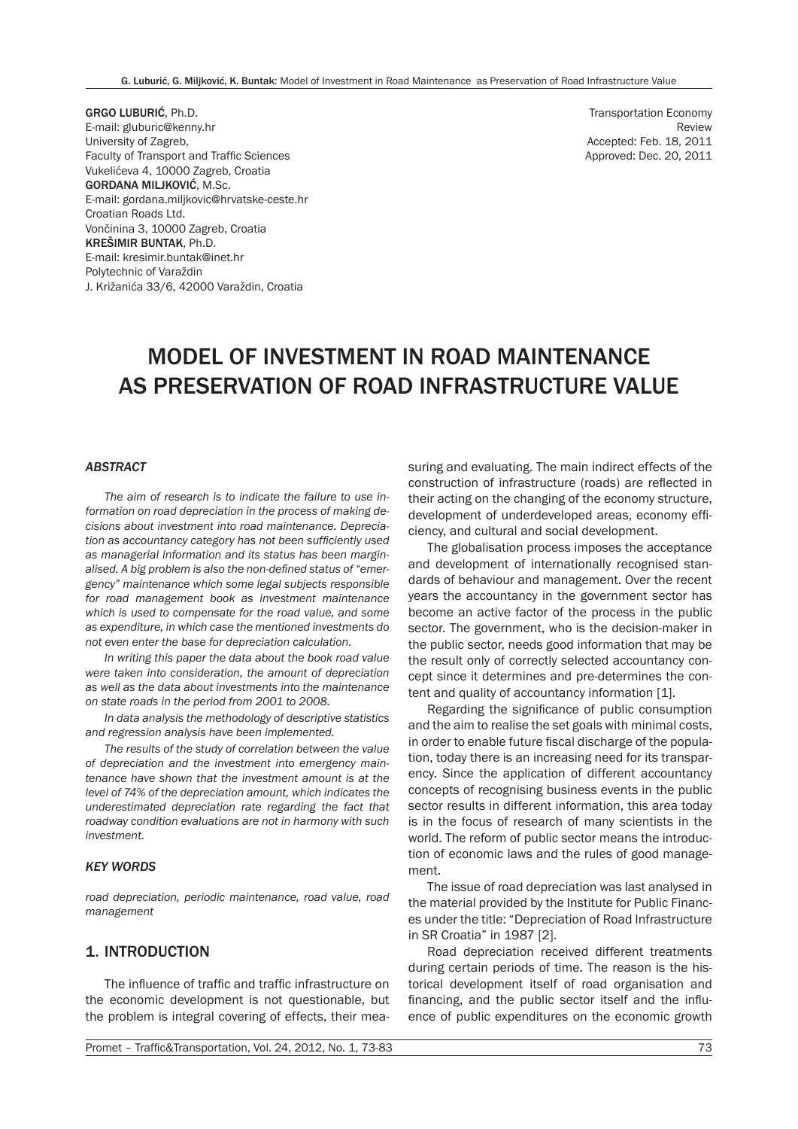GRGO LUBURIĆ, Ph.D. E-mail: gluburic@kenny.hr University of Zagreb, Faculty of Transport and Traffic Sciences Vukelićeva 4, 10000 Zagreb, Croatia GORDANA MILJKOVIĆ, M.Sc. E-mail: gordana.miljkovic@hrvatske-ceste.hr Croatian Roads Ltd. Vončinina 3, 10000 Zagreb, Croatia KREŠIMIR BUNTAK, Ph.D. E-mail: kresimir.buntak@inet.hr Polytechnic of Varaždin J. Križanića 33/6, 42000 Varaždin, Croatia

Transportation Economy Review Accepted: Feb. 18, 2011 Approved: Dec. 20, 2011

# MODEL OF INVESTMENT IN ROAD MAINTENANCE AS PRESERVATION OF ROAD INFRASTRUCTURE VALUE

#### *ABSTRACT*

*The aim of research is to indicate the failure to use information on road depreciation in the process of making decisions about investment into road maintenance. Depreciation as accountancy category has not been sufficiently used as managerial information and its status has been marginalised. A big problem is also the non-defined status of "emergency" maintenance which some legal subjects responsible for road management book as investment maintenance which is used to compensate for the road value, and some as expenditure, in which case the mentioned investments do not even enter the base for depreciation calculation.*

*In writing this paper the data about the book road value were taken into consideration, the amount of depreciation as well as the data about investments into the maintenance on state roads in the period from 2001 to 2008.*

*In data analysis the methodology of descriptive statistics and regression analysis have been implemented.*

*The results of the study of correlation between the value of depreciation and the investment into emergency maintenance have shown that the investment amount is at the level of 74% of the depreciation amount, which indicates the underestimated depreciation rate regarding the fact that roadway condition evaluations are not in harmony with such investment.*

#### *KEY WORDS*

*road depreciation, periodic maintenance, road value, road management*

#### 1. INTRODUCTION

The influence of traffic and traffic infrastructure on the economic development is not questionable, but the problem is integral covering of effects, their measuring and evaluating. The main indirect effects of the construction of infrastructure (roads) are reflected in their acting on the changing of the economy structure, development of underdeveloped areas, economy efficiency, and cultural and social development.

The globalisation process imposes the acceptance and development of internationally recognised standards of behaviour and management. Over the recent years the accountancy in the government sector has become an active factor of the process in the public sector. The government, who is the decision-maker in the public sector, needs good information that may be the result only of correctly selected accountancy concept since it determines and pre-determines the content and quality of accountancy information [1].

Regarding the significance of public consumption and the aim to realise the set goals with minimal costs, in order to enable future fiscal discharge of the population, today there is an increasing need for its transparency. Since the application of different accountancy concepts of recognising business events in the public sector results in different information, this area today is in the focus of research of many scientists in the world. The reform of public sector means the introduction of economic laws and the rules of good management.

The issue of road depreciation was last analysed in the material provided by the Institute for Public Finances under the title: "Depreciation of Road Infrastructure in SR Croatia" in 1987 [2].

Road depreciation received different treatments during certain periods of time. The reason is the historical development itself of road organisation and financing, and the public sector itself and the influence of public expenditures on the economic growth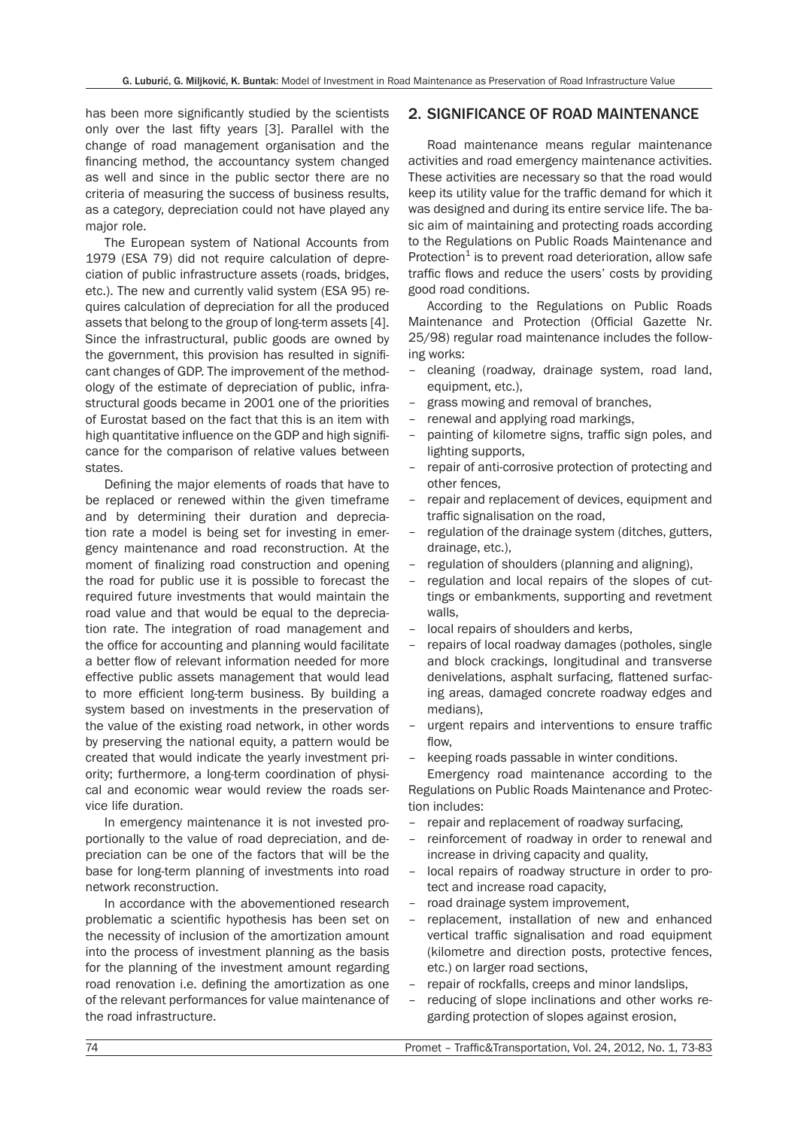has been more significantly studied by the scientists only over the last fifty years [3]. Parallel with the change of road management organisation and the financing method, the accountancy system changed as well and since in the public sector there are no criteria of measuring the success of business results, as a category, depreciation could not have played any major role.

The European system of National Accounts from 1979 (ESA 79) did not require calculation of depreciation of public infrastructure assets (roads, bridges, etc.). The new and currently valid system (ESA 95) requires calculation of depreciation for all the produced assets that belong to the group of long-term assets [4]. Since the infrastructural, public goods are owned by the government, this provision has resulted in significant changes of GDP. The improvement of the methodology of the estimate of depreciation of public, infrastructural goods became in 2001 one of the priorities of Eurostat based on the fact that this is an item with high quantitative influence on the GDP and high significance for the comparison of relative values between states.

Defining the major elements of roads that have to be replaced or renewed within the given timeframe and by determining their duration and depreciation rate a model is being set for investing in emergency maintenance and road reconstruction. At the moment of finalizing road construction and opening the road for public use it is possible to forecast the required future investments that would maintain the road value and that would be equal to the depreciation rate. The integration of road management and the office for accounting and planning would facilitate a better flow of relevant information needed for more effective public assets management that would lead to more efficient long-term business. By building a system based on investments in the preservation of the value of the existing road network, in other words by preserving the national equity, a pattern would be created that would indicate the yearly investment priority; furthermore, a long-term coordination of physical and economic wear would review the roads service life duration.

In emergency maintenance it is not invested proportionally to the value of road depreciation, and depreciation can be one of the factors that will be the base for long-term planning of investments into road network reconstruction.

In accordance with the abovementioned research problematic a scientific hypothesis has been set on the necessity of inclusion of the amortization amount into the process of investment planning as the basis for the planning of the investment amount regarding road renovation i.e. defining the amortization as one of the relevant performances for value maintenance of the road infrastructure.

## 2. SIGNIFICANCE OF ROAD MAINTENANCE

Road maintenance means regular maintenance activities and road emergency maintenance activities. These activities are necessary so that the road would keep its utility value for the traffic demand for which it was designed and during its entire service life. The basic aim of maintaining and protecting roads according to the Regulations on Public Roads Maintenance and Protection $1$  is to prevent road deterioration, allow safe traffic flows and reduce the users' costs by providing good road conditions.

According to the Regulations on Public Roads Maintenance and Protection (Official Gazette Nr. 25/98) regular road maintenance includes the following works:

- cleaning (roadway, drainage system, road land, equipment, etc.),
- grass mowing and removal of branches,
- renewal and applying road markings,
- painting of kilometre signs, traffic sign poles, and lighting supports,
- repair of anti-corrosive protection of protecting and other fences,
- repair and replacement of devices, equipment and traffic signalisation on the road,
- regulation of the drainage system (ditches, gutters, drainage, etc.),
- regulation of shoulders (planning and aligning),
- regulation and local repairs of the slopes of cuttings or embankments, supporting and revetment walls,
- local repairs of shoulders and kerbs,
- repairs of local roadway damages (potholes, single and block crackings, longitudinal and transverse denivelations, asphalt surfacing, flattened surfacing areas, damaged concrete roadway edges and medians),
- urgent repairs and interventions to ensure traffic flow,
- keeping roads passable in winter conditions.

Emergency road maintenance according to the Regulations on Public Roads Maintenance and Protection includes:

- repair and replacement of roadway surfacing,
- reinforcement of roadway in order to renewal and increase in driving capacity and quality,
- local repairs of roadway structure in order to protect and increase road capacity,
- road drainage system improvement,
- replacement, installation of new and enhanced vertical traffic signalisation and road equipment (kilometre and direction posts, protective fences, etc.) on larger road sections,
- repair of rockfalls, creeps and minor landslips,
- reducing of slope inclinations and other works regarding protection of slopes against erosion,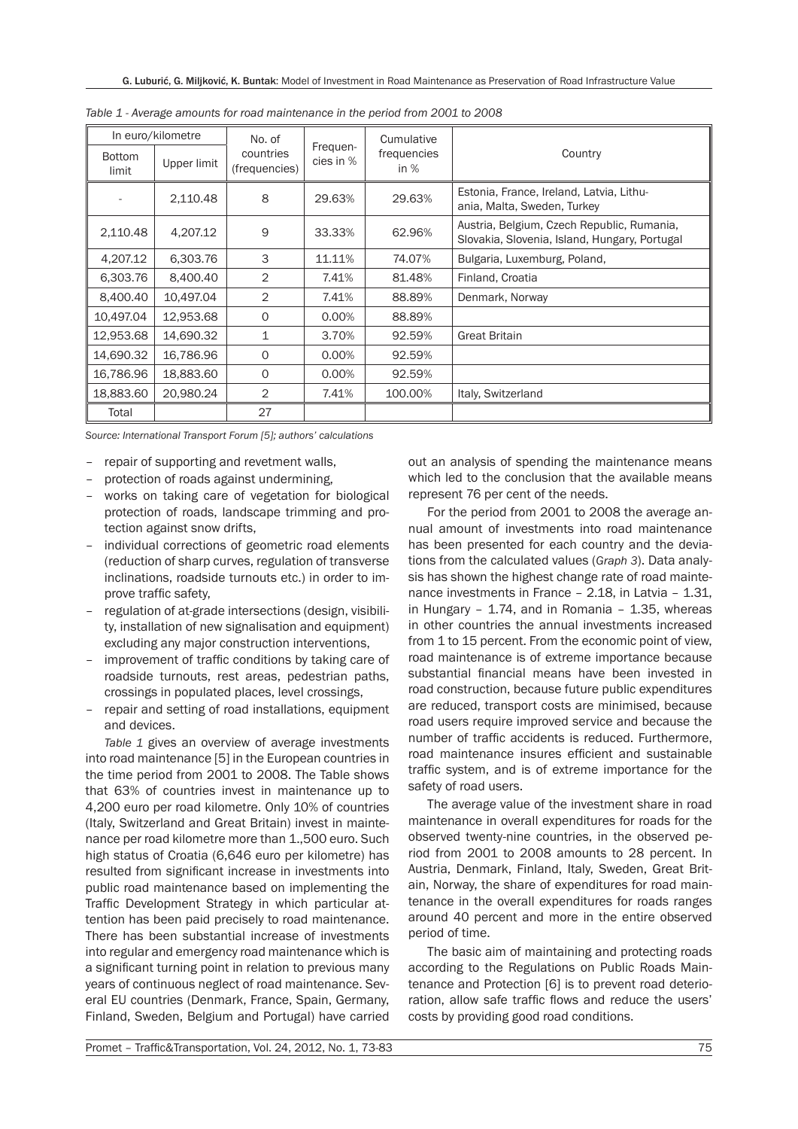| In euro/kilometre      |             | No. of                     |                       | Cumulative            |                                                                                             |  |  |
|------------------------|-------------|----------------------------|-----------------------|-----------------------|---------------------------------------------------------------------------------------------|--|--|
| <b>Bottom</b><br>limit | Upper limit | countries<br>(frequencies) | Frequen-<br>cies in % | frequencies<br>in $%$ | Country                                                                                     |  |  |
|                        | 2,110.48    | 8                          | 29.63%                | 29.63%                | Estonia, France, Ireland, Latvia, Lithu-<br>ania, Malta, Sweden, Turkey                     |  |  |
| 2,110.48               | 4.207.12    | 9                          | 33.33%                | 62.96%                | Austria, Belgium, Czech Republic, Rumania,<br>Slovakia, Slovenia, Island, Hungary, Portugal |  |  |
| 4,207.12               | 6.303.76    | 3                          | 11.11%                | 74.07%                | Bulgaria, Luxemburg, Poland,                                                                |  |  |
| 6,303.76               | 8,400.40    | $\overline{2}$             | 7.41%                 | 81.48%                | Finland, Croatia                                                                            |  |  |
| 8,400.40               | 10,497.04   | $\overline{2}$             | 7.41%                 | 88.89%                | Denmark, Norway                                                                             |  |  |
| 10,497.04              | 12,953.68   | $\Omega$                   | 0.00%                 | 88.89%                |                                                                                             |  |  |
| 12,953.68              | 14,690.32   | 1                          | 3.70%                 | 92.59%                | <b>Great Britain</b>                                                                        |  |  |
| 14.690.32              | 16.786.96   | $\circ$                    | 0.00%                 | 92.59%                |                                                                                             |  |  |
| 16,786.96              | 18,883.60   | $\Omega$                   | 0.00%                 | 92.59%                |                                                                                             |  |  |
| 18,883.60              | 20,980.24   | $\overline{2}$             | 7.41%                 | 100.00%               | Italy, Switzerland                                                                          |  |  |
| Total                  |             | 27                         |                       |                       |                                                                                             |  |  |

*Table 1 - Average amounts for road maintenance in the period from 2001 to 2008*

*Source: International Transport Forum [5]; authors' calculations*

- repair of supporting and revetment walls,
- protection of roads against undermining,
- works on taking care of vegetation for biological protection of roads, landscape trimming and protection against snow drifts,
- individual corrections of geometric road elements (reduction of sharp curves, regulation of transverse inclinations, roadside turnouts etc.) in order to improve traffic safety,
- regulation of at-grade intersections (design, visibility, installation of new signalisation and equipment) excluding any major construction interventions,
- improvement of traffic conditions by taking care of roadside turnouts, rest areas, pedestrian paths, crossings in populated places, level crossings,
- repair and setting of road installations, equipment and devices.

*Table 1* gives an overview of average investments into road maintenance [5] in the European countries in the time period from 2001 to 2008. The Table shows that 63% of countries invest in maintenance up to 4,200 euro per road kilometre. Only 10% of countries (Italy, Switzerland and Great Britain) invest in maintenance per road kilometre more than 1.,500 euro. Such high status of Croatia (6,646 euro per kilometre) has resulted from significant increase in investments into public road maintenance based on implementing the Traffic Development Strategy in which particular attention has been paid precisely to road maintenance. There has been substantial increase of investments into regular and emergency road maintenance which is a significant turning point in relation to previous many years of continuous neglect of road maintenance. Several EU countries (Denmark, France, Spain, Germany, Finland, Sweden, Belgium and Portugal) have carried out an analysis of spending the maintenance means which led to the conclusion that the available means represent 76 per cent of the needs.

For the period from 2001 to 2008 the average annual amount of investments into road maintenance has been presented for each country and the deviations from the calculated values (*Graph 3*). Data analysis has shown the highest change rate of road maintenance investments in France – 2.18, in Latvia – 1.31, in Hungary  $-$  1.74, and in Romania  $-$  1.35, whereas in other countries the annual investments increased from 1 to 15 percent. From the economic point of view, road maintenance is of extreme importance because substantial financial means have been invested in road construction, because future public expenditures are reduced, transport costs are minimised, because road users require improved service and because the number of traffic accidents is reduced. Furthermore, road maintenance insures efficient and sustainable traffic system, and is of extreme importance for the safety of road users.

The average value of the investment share in road maintenance in overall expenditures for roads for the observed twenty-nine countries, in the observed period from 2001 to 2008 amounts to 28 percent. In Austria, Denmark, Finland, Italy, Sweden, Great Britain, Norway, the share of expenditures for road maintenance in the overall expenditures for roads ranges around 40 percent and more in the entire observed period of time.

The basic aim of maintaining and protecting roads according to the Regulations on Public Roads Maintenance and Protection [6] is to prevent road deterioration, allow safe traffic flows and reduce the users' costs by providing good road conditions.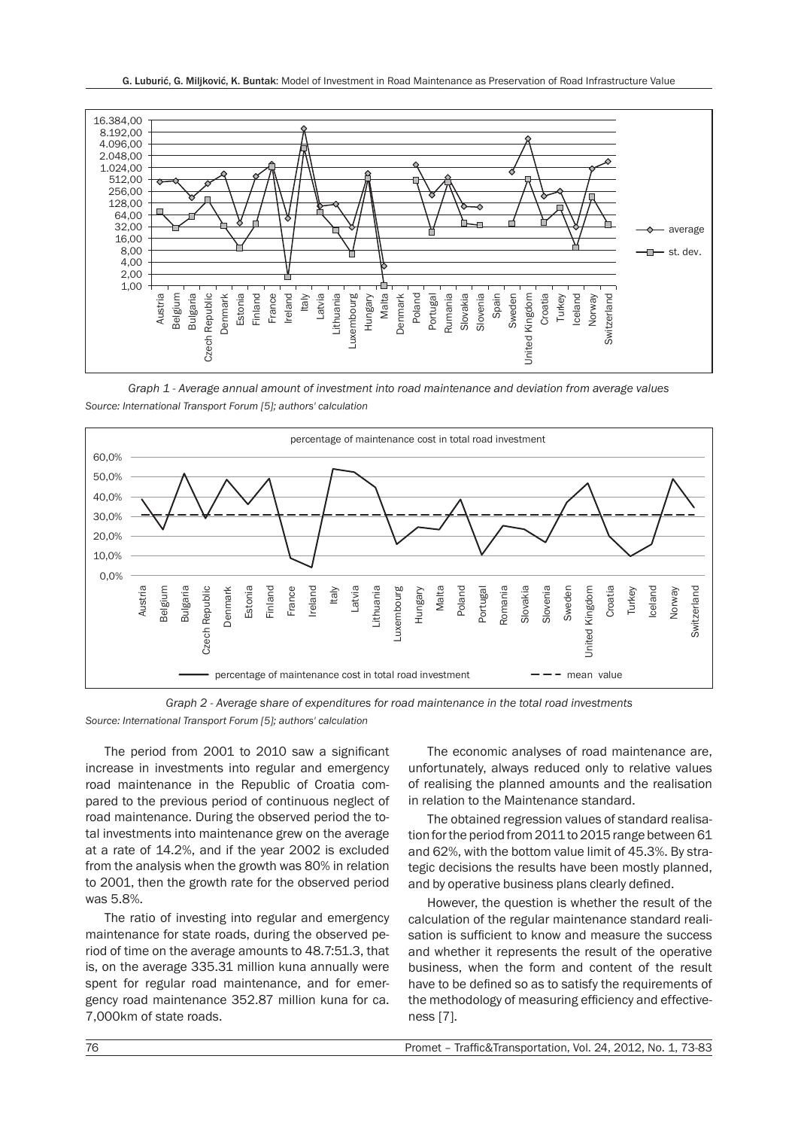

*Graph 1 - Average annual amount of investment into road maintenance and deviation from average values Source: International Transport Forum [5]; authors' calculation*



*Graph 2 - Average share of expenditures for road maintenance in the total road investments*

*Source: International Transport Forum [5]; authors' calculation*

The period from 2001 to 2010 saw a significant increase in investments into regular and emergency road maintenance in the Republic of Croatia compared to the previous period of continuous neglect of road maintenance. During the observed period the total investments into maintenance grew on the average at a rate of 14.2%, and if the year 2002 is excluded from the analysis when the growth was 80% in relation to 2001, then the growth rate for the observed period was 5.8%.

The ratio of investing into regular and emergency maintenance for state roads, during the observed period of time on the average amounts to 48.7:51.3, that is, on the average 335.31 million kuna annually were spent for regular road maintenance, and for emergency road maintenance 352.87 million kuna for ca. 7,000km of state roads.

The economic analyses of road maintenance are, unfortunately, always reduced only to relative values of realising the planned amounts and the realisation in relation to the Maintenance standard.

The obtained regression values of standard realisation for the period from 2011 to 2015 range between 61 and 62%, with the bottom value limit of 45.3%. By strategic decisions the results have been mostly planned, and by operative business plans clearly defined.

However, the question is whether the result of the calculation of the regular maintenance standard realisation is sufficient to know and measure the success and whether it represents the result of the operative business, when the form and content of the result have to be defined so as to satisfy the requirements of the methodology of measuring efficiency and effectiveness [7].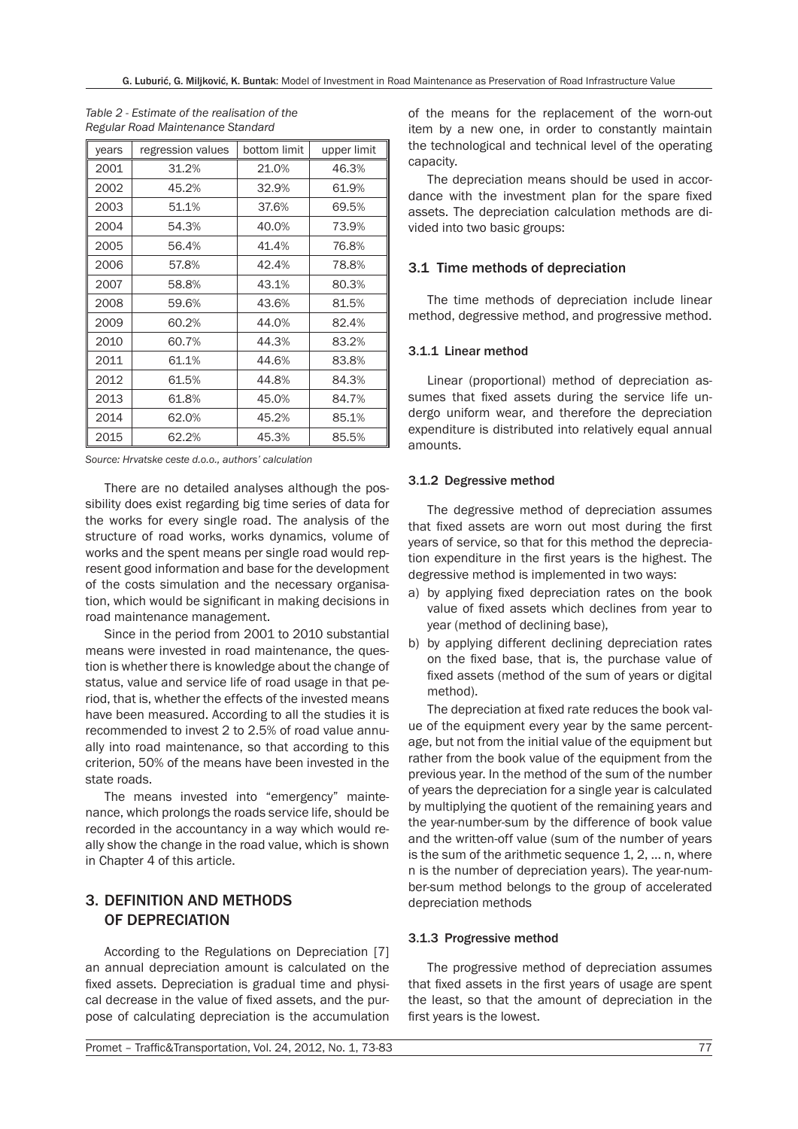| vears | regression values | bottom limit | upper limit |
|-------|-------------------|--------------|-------------|
| 2001  | 31.2%             | 21.0%        | 46.3%       |
| 2002  | 45.2%             | 32.9%        | 61.9%       |
| 2003  | 51.1%             | 37.6%        | 69.5%       |
| 2004  | 54.3%             | 40.0%        | 73.9%       |
| 2005  | 56.4%             | 41.4%        | 76.8%       |
| 2006  | 57.8%             | 42.4%        | 78.8%       |
| 2007  | 58.8%             | 43.1%        | 80.3%       |
| 2008  | 59.6%             | 43.6%        | 81.5%       |
| 2009  | 60.2%             | 44.0%        | 82.4%       |
| 2010  | 60.7%             | 44.3%        | 83.2%       |
| 2011  | 61.1%             | 44.6%        | 83.8%       |
| 2012  | 61.5%             | 44.8%        | 84.3%       |
| 2013  | 61.8%             | 45.0%        | 84.7%       |
| 2014  | 62.0%             | 45.2%        | 85.1%       |
| 2015  | 62.2%             | 45.3%        | 85.5%       |

*Table 2 - Estimate of the realisation of the Regular Road Maintenance Standard*

*Source: Hrvatske ceste d.o.o., authors' calculation*

There are no detailed analyses although the possibility does exist regarding big time series of data for the works for every single road. The analysis of the structure of road works, works dynamics, volume of works and the spent means per single road would represent good information and base for the development of the costs simulation and the necessary organisation, which would be significant in making decisions in road maintenance management.

Since in the period from 2001 to 2010 substantial means were invested in road maintenance, the question is whether there is knowledge about the change of status, value and service life of road usage in that period, that is, whether the effects of the invested means have been measured. According to all the studies it is recommended to invest 2 to 2.5% of road value annually into road maintenance, so that according to this criterion, 50% of the means have been invested in the state roads.

The means invested into "emergency" maintenance, which prolongs the roads service life, should be recorded in the accountancy in a way which would really show the change in the road value, which is shown in Chapter 4 of this article.

# 3. DEFINITION AND METHODS OF DEPRECIATION

According to the Regulations on Depreciation [7] an annual depreciation amount is calculated on the fixed assets. Depreciation is gradual time and physical decrease in the value of fixed assets, and the purpose of calculating depreciation is the accumulation of the means for the replacement of the worn-out item by a new one, in order to constantly maintain the technological and technical level of the operating capacity.

The depreciation means should be used in accordance with the investment plan for the spare fixed assets. The depreciation calculation methods are divided into two basic groups:

#### 3.1 Time methods of depreciation

The time methods of depreciation include linear method, degressive method, and progressive method.

#### 3.1.1 Linear method

Linear (proportional) method of depreciation assumes that fixed assets during the service life undergo uniform wear, and therefore the depreciation expenditure is distributed into relatively equal annual amounts.

#### 3.1.2 Degressive method

The degressive method of depreciation assumes that fixed assets are worn out most during the first years of service, so that for this method the depreciation expenditure in the first years is the highest. The degressive method is implemented in two ways:

- a) by applying fixed depreciation rates on the book value of fixed assets which declines from year to year (method of declining base),
- b) by applying different declining depreciation rates on the fixed base, that is, the purchase value of fixed assets (method of the sum of years or digital method).

The depreciation at fixed rate reduces the book value of the equipment every year by the same percentage, but not from the initial value of the equipment but rather from the book value of the equipment from the previous year. In the method of the sum of the number of years the depreciation for a single year is calculated by multiplying the quotient of the remaining years and the year-number-sum by the difference of book value and the written-off value (sum of the number of years is the sum of the arithmetic sequence 1, 2, ... n, where n is the number of depreciation years). The year-number-sum method belongs to the group of accelerated depreciation methods

#### 3.1.3 Progressive method

The progressive method of depreciation assumes that fixed assets in the first years of usage are spent the least, so that the amount of depreciation in the first years is the lowest.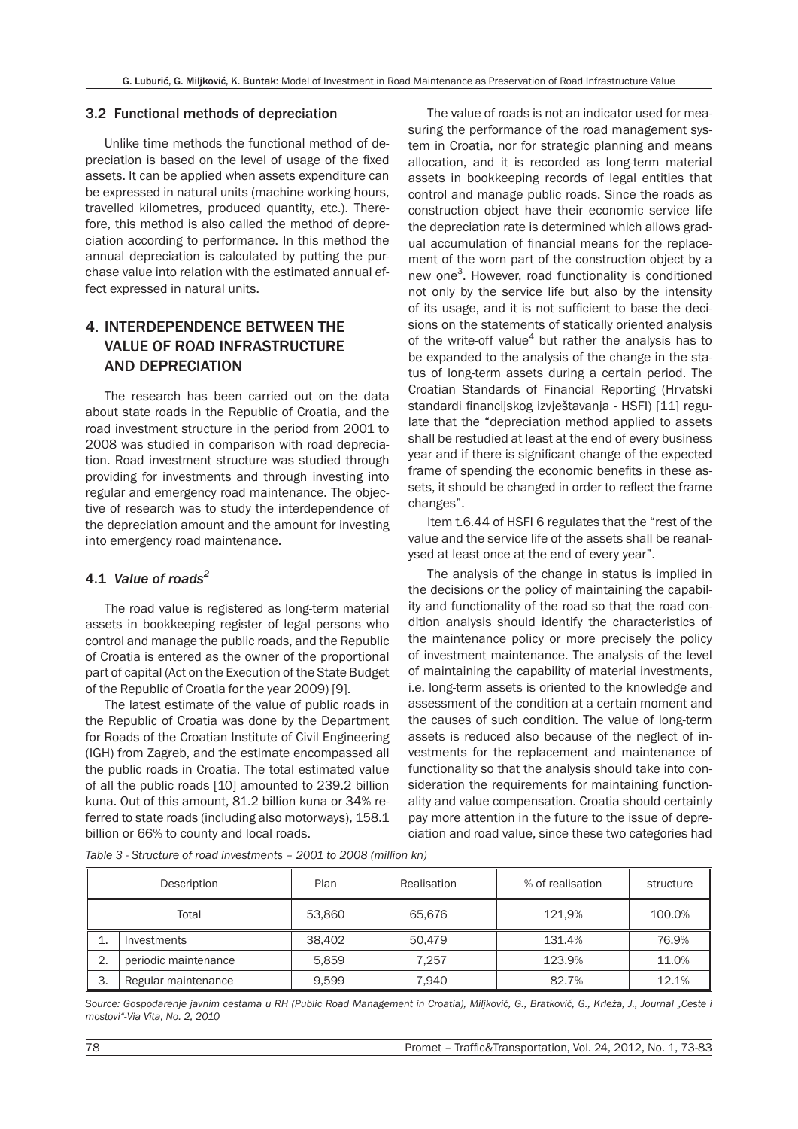#### 3.2 Functional methods of depreciation

Unlike time methods the functional method of depreciation is based on the level of usage of the fixed assets. It can be applied when assets expenditure can be expressed in natural units (machine working hours, travelled kilometres, produced quantity, etc.). Therefore, this method is also called the method of depreciation according to performance. In this method the annual depreciation is calculated by putting the purchase value into relation with the estimated annual effect expressed in natural units.

# 4. INTERDEPENDENCE BETWEEN THE VALUE OF ROAD INFRASTRUCTURE AND DEPRECIATION

The research has been carried out on the data about state roads in the Republic of Croatia, and the road investment structure in the period from 2001 to 2008 was studied in comparison with road depreciation. Road investment structure was studied through providing for investments and through investing into regular and emergency road maintenance. The objective of research was to study the interdependence of the depreciation amount and the amount for investing into emergency road maintenance.

## 4.1 *Value of roads<sup>2</sup>*

The road value is registered as long-term material assets in bookkeeping register of legal persons who control and manage the public roads, and the Republic of Croatia is entered as the owner of the proportional part of capital (Act on the Execution of the State Budget of the Republic of Croatia for the year 2009) [9].

The latest estimate of the value of public roads in the Republic of Croatia was done by the Department for Roads of the Croatian Institute of Civil Engineering (IGH) from Zagreb, and the estimate encompassed all the public roads in Croatia. The total estimated value of all the public roads [10] amounted to 239.2 billion kuna. Out of this amount, 81.2 billion kuna or 34% referred to state roads (including also motorways), 158.1 billion or 66% to county and local roads.

The value of roads is not an indicator used for measuring the performance of the road management system in Croatia, nor for strategic planning and means allocation, and it is recorded as long-term material assets in bookkeeping records of legal entities that control and manage public roads. Since the roads as construction object have their economic service life the depreciation rate is determined which allows gradual accumulation of financial means for the replacement of the worn part of the construction object by a new one<sup>3</sup>. However, road functionality is conditioned not only by the service life but also by the intensity of its usage, and it is not sufficient to base the decisions on the statements of statically oriented analysis of the write-off value<sup>4</sup> but rather the analysis has to be expanded to the analysis of the change in the status of long-term assets during a certain period. The Croatian Standards of Financial Reporting (Hrvatski standardi financijskog izvještavanja - HSFI) [11] regulate that the "depreciation method applied to assets shall be restudied at least at the end of every business year and if there is significant change of the expected frame of spending the economic benefits in these assets, it should be changed in order to reflect the frame changes".

Item t.6.44 of HSFI 6 regulates that the "rest of the value and the service life of the assets shall be reanalysed at least once at the end of every year".

The analysis of the change in status is implied in the decisions or the policy of maintaining the capability and functionality of the road so that the road condition analysis should identify the characteristics of the maintenance policy or more precisely the policy of investment maintenance. The analysis of the level of maintaining the capability of material investments, i.e. long-term assets is oriented to the knowledge and assessment of the condition at a certain moment and the causes of such condition. The value of long-term assets is reduced also because of the neglect of investments for the replacement and maintenance of functionality so that the analysis should take into consideration the requirements for maintaining functionality and value compensation. Croatia should certainly pay more attention in the future to the issue of depreciation and road value, since these two categories had

*Table 3 - Structure of road investments – 2001 to 2008 (million kn)*

|       | Description          | Plan   | Realisation | % of realisation | structure |
|-------|----------------------|--------|-------------|------------------|-----------|
| Total |                      | 53,860 | 65,676      | 121.9%           | 100.0%    |
|       | Investments          | 38,402 | 50.479      | 131.4%           | 76.9%     |
| 2.    | periodic maintenance | 5.859  | 7.257       | 123.9%           | 11.0%     |
| 3.    | Regular maintenance  | 9.599  | 7.940       | 82.7%            | 12.1%     |

*Source: Gospodarenje javnim cestama u RH (Public Road Management in Croatia), Miljković, G., Bratković, G., Krleža, J., Journal "Ceste i mostovi"-Via Vita, No. 2, 2010*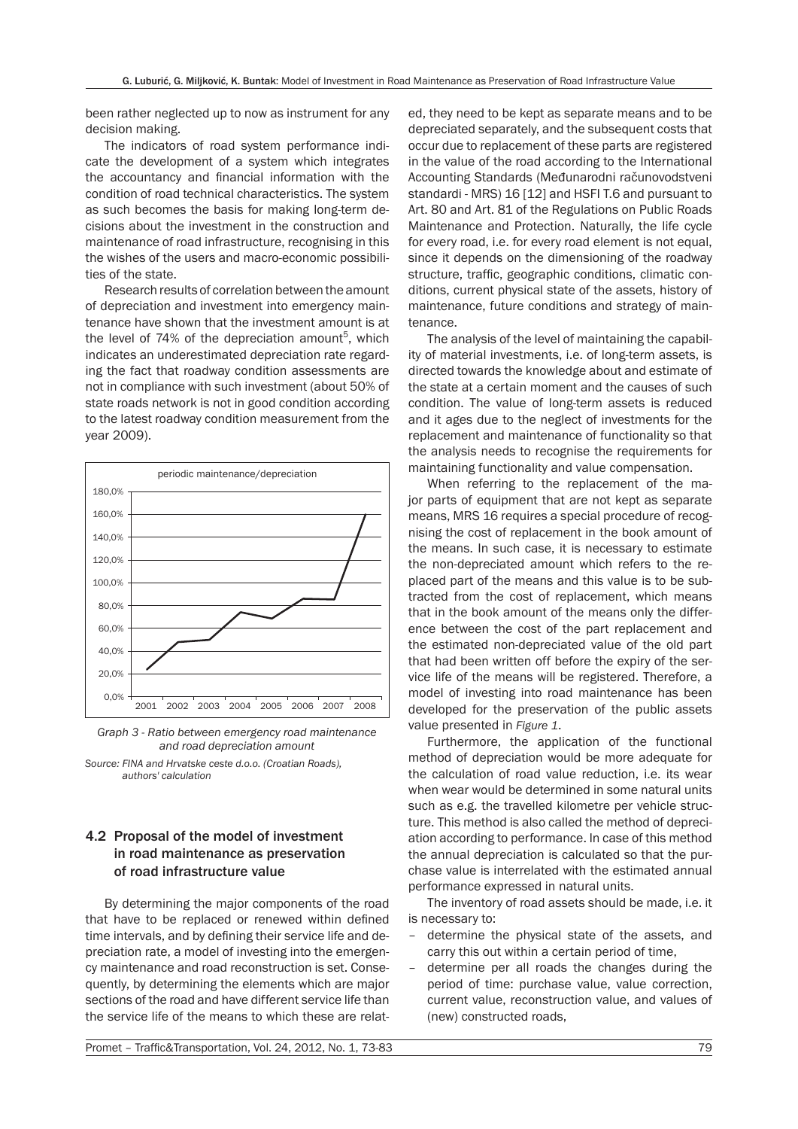been rather neglected up to now as instrument for any decision making.

The indicators of road system performance indicate the development of a system which integrates the accountancy and financial information with the condition of road technical characteristics. The system as such becomes the basis for making long-term decisions about the investment in the construction and maintenance of road infrastructure, recognising in this the wishes of the users and macro-economic possibilities of the state.

Research results of correlation between the amount of depreciation and investment into emergency maintenance have shown that the investment amount is at the level of 74% of the depreciation amount<sup>5</sup>, which indicates an underestimated depreciation rate regarding the fact that roadway condition assessments are not in compliance with such investment (about 50% of state roads network is not in good condition according to the latest roadway condition measurement from the year 2009).



*Graph 3 - Ratio between emergency road maintenance and road depreciation amount*

*Source: FINA and Hrvatske ceste d.o.o. (Croatian Roads), authors' calculation*

## 4.2 Proposal of the model of investment in road maintenance as preservation of road infrastructure value

By determining the major components of the road that have to be replaced or renewed within defined time intervals, and by defining their service life and depreciation rate, a model of investing into the emergency maintenance and road reconstruction is set. Consequently, by determining the elements which are major sections of the road and have different service life than the service life of the means to which these are relat-

ed, they need to be kept as separate means and to be depreciated separately, and the subsequent costs that occur due to replacement of these parts are registered in the value of the road according to the International Accounting Standards (Međunarodni računovodstveni standardi - MRS) 16 [12] and HSFI T.6 and pursuant to Art. 80 and Art. 81 of the Regulations on Public Roads Maintenance and Protection. Naturally, the life cycle for every road, i.e. for every road element is not equal, since it depends on the dimensioning of the roadway structure, traffic, geographic conditions, climatic conditions, current physical state of the assets, history of maintenance, future conditions and strategy of maintenance.

The analysis of the level of maintaining the capability of material investments, i.e. of long-term assets, is directed towards the knowledge about and estimate of the state at a certain moment and the causes of such condition. The value of long-term assets is reduced and it ages due to the neglect of investments for the replacement and maintenance of functionality so that the analysis needs to recognise the requirements for maintaining functionality and value compensation.

When referring to the replacement of the major parts of equipment that are not kept as separate means, MRS 16 requires a special procedure of recognising the cost of replacement in the book amount of the means. In such case, it is necessary to estimate the non-depreciated amount which refers to the replaced part of the means and this value is to be subtracted from the cost of replacement, which means that in the book amount of the means only the difference between the cost of the part replacement and the estimated non-depreciated value of the old part that had been written off before the expiry of the service life of the means will be registered. Therefore, a model of investing into road maintenance has been developed for the preservation of the public assets value presented in *Figure 1*.

Furthermore, the application of the functional method of depreciation would be more adequate for the calculation of road value reduction, i.e. its wear when wear would be determined in some natural units such as e.g. the travelled kilometre per vehicle structure. This method is also called the method of depreciation according to performance. In case of this method the annual depreciation is calculated so that the purchase value is interrelated with the estimated annual performance expressed in natural units.

The inventory of road assets should be made, i.e. it is necessary to:

- determine the physical state of the assets, and carry this out within a certain period of time,
- determine per all roads the changes during the period of time: purchase value, value correction, current value, reconstruction value, and values of (new) constructed roads,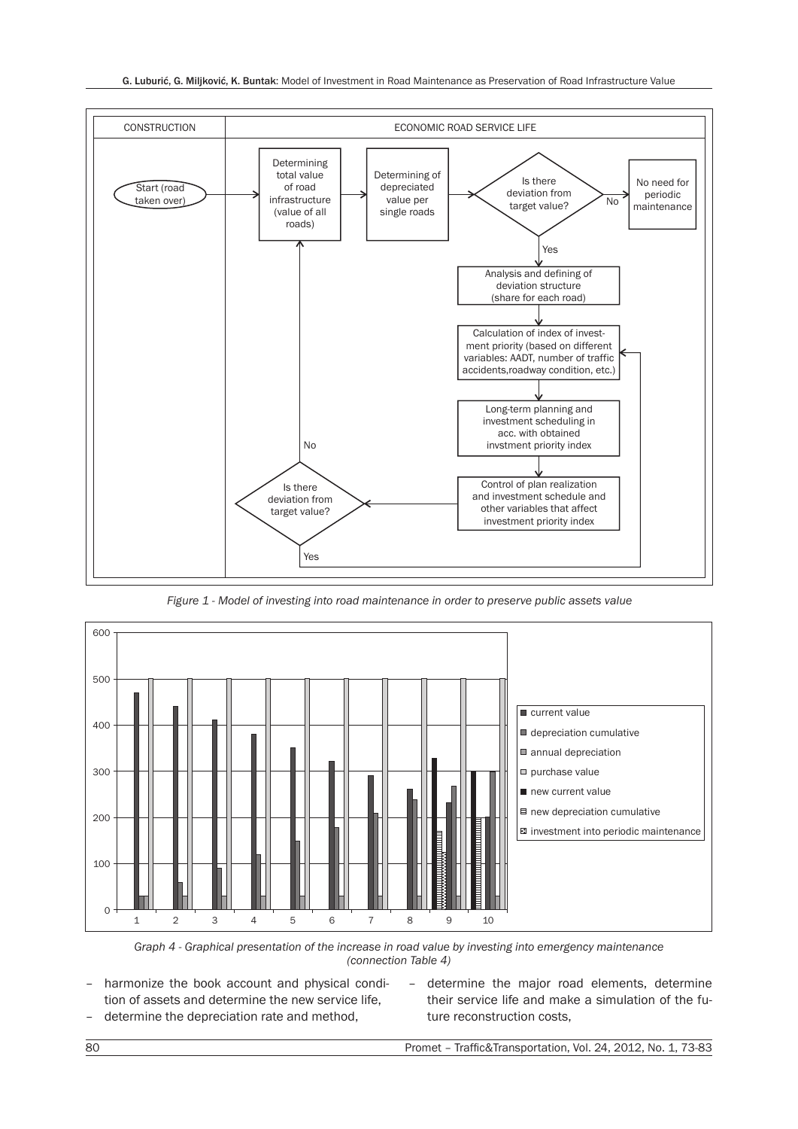#### G. Luburić, G. Miljković, K. Buntak: Model of Investment in Road Maintenance as Preservation of Road Infrastructure Value



*Figure 1 - Model of investing into road maintenance in order to preserve public assets value*



*Graph 4 - Graphical presentation of the increase in road value by investing into emergency maintenance (connection Table 4)*

- harmonize the book account and physical condition of assets and determine the new service life, – determine the depreciation rate and method,
- determine the major road elements, determine their service life and make a simulation of the future reconstruction costs,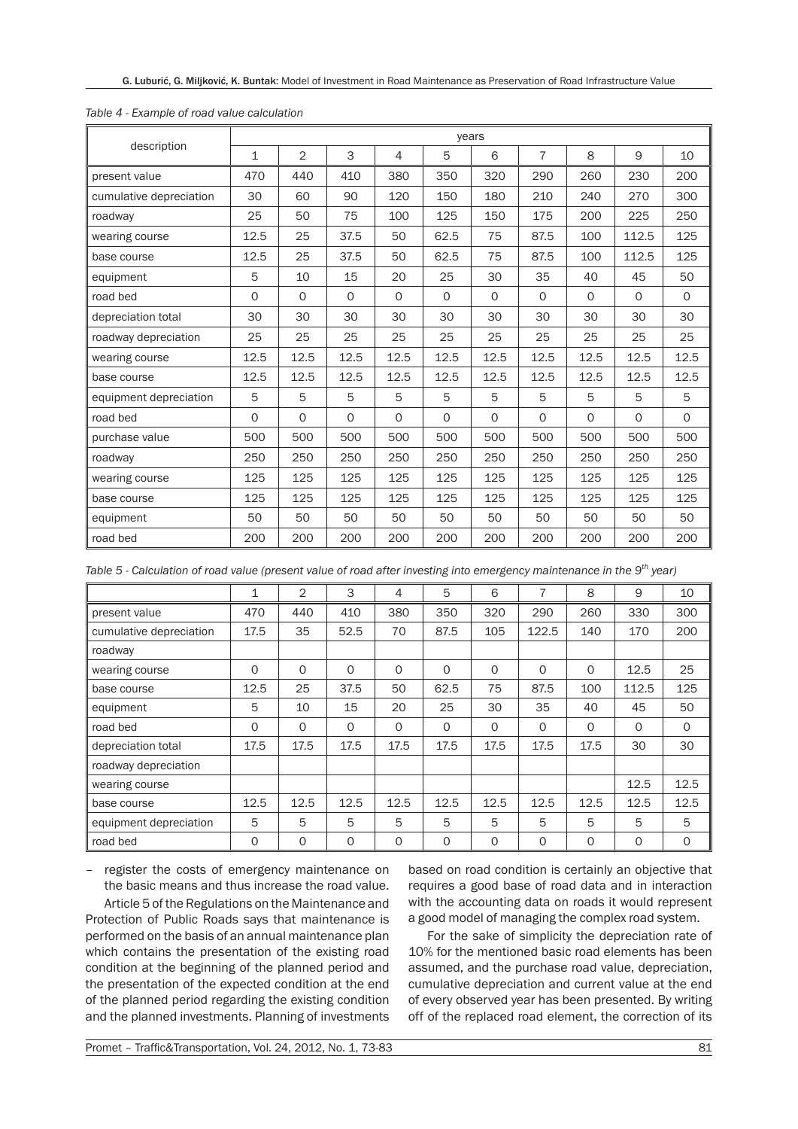| description             | vears        |                |             |         |              |              |                |         |          |              |
|-------------------------|--------------|----------------|-------------|---------|--------------|--------------|----------------|---------|----------|--------------|
|                         | $\mathbf{1}$ | $\overline{2}$ | 3           | 4       | 5            | 6            | $\overline{7}$ | 8       | 9        | 10           |
| present value           | 470          | 440            | 410         | 380     | 350          | 320          | 290            | 260     | 230      | 200          |
| cumulative depreciation | 30           | 60             | 90          | 120     | 150          | 180          | 210            | 240     | 270      | 300          |
| roadway                 | 25           | 50             | 75          | 100     | 125          | 150          | 175            | 200     | 225      | 250          |
| wearing course          | 12.5         | 25             | 37.5        | 50      | 62.5         | 75           | 87.5           | 100     | 112.5    | 125          |
| base course             | 12.5         | 25             | 37.5        | 50      | 62.5         | 75           | 87.5           | 100     | 112.5    | 125          |
| equipment               | 5            | 10             | 15          | 20      | 25           | 30           | 35             | 40      | 45       | 50           |
| road bed                | 0            | 0              | $\circ$     | $\circ$ | $\circ$      | $\circ$      | $\Omega$       | $\circ$ | $\circ$  | $\mathsf{O}$ |
| depreciation total      | 30           | 30             | 30          | 30      | 30           | 30           | 30             | 30      | 30       | 30           |
| roadway depreciation    | 25           | 25             | 25          | 25      | 25           | 25           | 25             | 25      | 25       | 25           |
| wearing course          | 12.5         | 12.5           | 12.5        | 12.5    | 12.5         | 12.5         | 12.5           | 12.5    | 12.5     | 12.5         |
| base course             | 12.5         | 12.5           | 12.5        | 12.5    | 12.5         | 12.5         | 12.5           | 12.5    | 12.5     | 12.5         |
| equipment depreciation  | 5            | 5              | 5           | 5       | 5            | 5            | 5              | 5       | 5        | 5            |
| road bed                | 0            | 0              | $\mathbf 0$ | 0       | $\mathsf{O}$ | $\mathsf{O}$ | $\mathsf{O}$   | $\circ$ | $\Omega$ | $\Omega$     |
| purchase value          | 500          | 500            | 500         | 500     | 500          | 500          | 500            | 500     | 500      | 500          |
| roadway                 | 250          | 250            | 250         | 250     | 250          | 250          | 250            | 250     | 250      | 250          |
| wearing course          | 125          | 125            | 125         | 125     | 125          | 125          | 125            | 125     | 125      | 125          |
| base course             | 125          | 125            | 125         | 125     | 125          | 125          | 125            | 125     | 125      | 125          |
| equipment               | 50           | 50             | 50          | 50      | 50           | 50           | 50             | 50      | 50       | 50           |
| road bed                | 200          | 200            | 200         | 200     | 200          | 200          | 200            | 200     | 200      | 200          |

#### *Table 4 - Example of road value calculation*

| Table 5 - Calculation of road value (present value of road after investing into emergency maintenance in the 9 <sup>th</sup> year) |  |
|------------------------------------------------------------------------------------------------------------------------------------|--|
|------------------------------------------------------------------------------------------------------------------------------------|--|

|                         | 1        | 2        | 3        | $\overline{4}$ | 5        | 6        | 7        | 8        | 9        | 10       |
|-------------------------|----------|----------|----------|----------------|----------|----------|----------|----------|----------|----------|
| present value           | 470      | 440      | 410      | 380            | 350      | 320      | 290      | 260      | 330      | 300      |
| cumulative depreciation | 17.5     | 35       | 52.5     | 70             | 87.5     | 105      | 122.5    | 140      | 170      | 200      |
| roadway                 |          |          |          |                |          |          |          |          |          |          |
| wearing course          | $\Omega$ | $\Omega$ | $\Omega$ | $\Omega$       | $\Omega$ | $\Omega$ | $\Omega$ | $\Omega$ | 12.5     | 25       |
| base course             | 12.5     | 25       | 37.5     | 50             | 62.5     | 75       | 87.5     | 100      | 112.5    | 125      |
| equipment               | 5        | 10       | 15       | 20             | 25       | 30       | 35       | 40       | 45       | 50       |
| road bed                | O        | $\Omega$ | $\Omega$ | $\Omega$       | $\Omega$ | $\Omega$ | $\Omega$ | $\Omega$ | $\Omega$ | $\Omega$ |
| depreciation total      | 17.5     | 17.5     | 17.5     | 17.5           | 17.5     | 17.5     | 17.5     | 17.5     | 30       | 30       |
| roadway depreciation    |          |          |          |                |          |          |          |          |          |          |
| wearing course          |          |          |          |                |          |          |          |          | 12.5     | 12.5     |
| base course             | 12.5     | 12.5     | 12.5     | 12.5           | 12.5     | 12.5     | 12.5     | 12.5     | 12.5     | 12.5     |
| equipment depreciation  | 5        | 5        | 5        | 5              | 5        | 5        | 5        | 5        | 5        | 5        |
| road bed                | O        | $\Omega$ | 0        | $\Omega$       | 0        | $\Omega$ | $\Omega$ | $\Omega$ | 0        | $\Omega$ |

– register the costs of emergency maintenance on the basic means and thus increase the road value. Article 5 of the Regulations on the Maintenance and

Protection of Public Roads says that maintenance is performed on the basis of an annual maintenance plan which contains the presentation of the existing road condition at the beginning of the planned period and the presentation of the expected condition at the end of the planned period regarding the existing condition and the planned investments. Planning of investments

based on road condition is certainly an objective that requires a good base of road data and in interaction with the accounting data on roads it would represent a good model of managing the complex road system.

For the sake of simplicity the depreciation rate of 10% for the mentioned basic road elements has been assumed, and the purchase road value, depreciation, cumulative depreciation and current value at the end of every observed year has been presented. By writing off of the replaced road element, the correction of its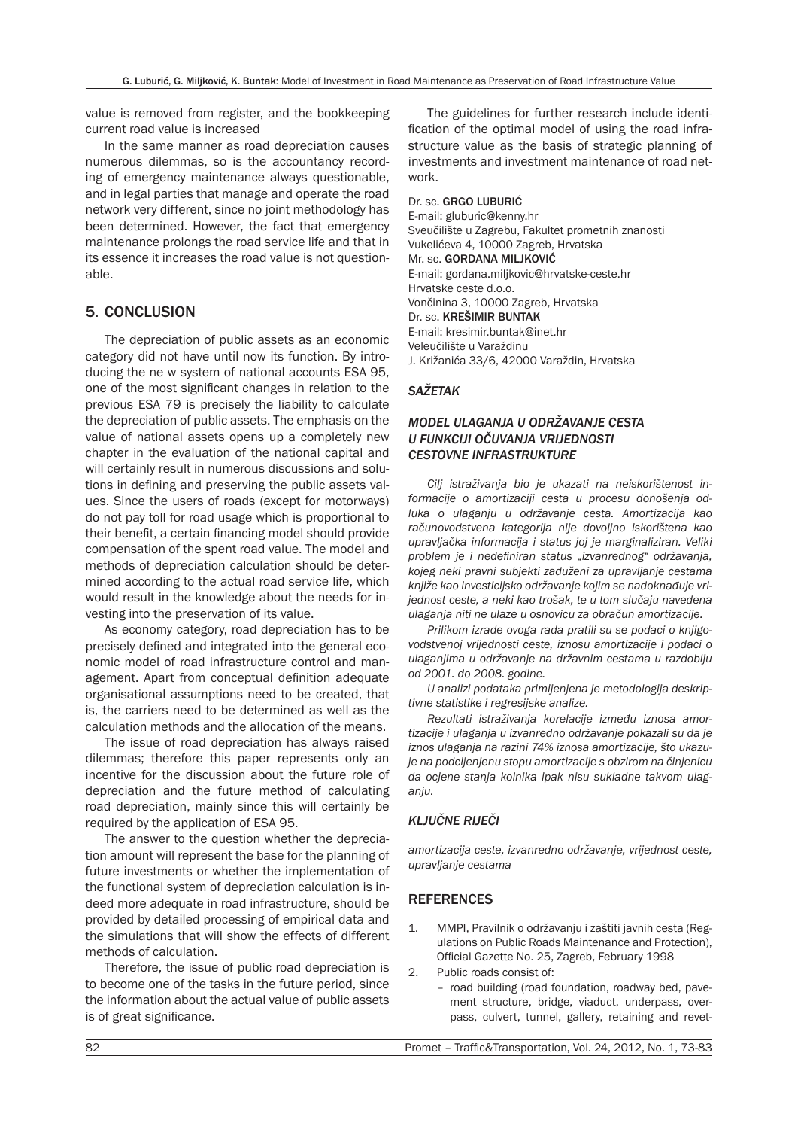value is removed from register, and the bookkeeping current road value is increased

In the same manner as road depreciation causes numerous dilemmas, so is the accountancy recording of emergency maintenance always questionable, and in legal parties that manage and operate the road network very different, since no joint methodology has been determined. However, the fact that emergency maintenance prolongs the road service life and that in its essence it increases the road value is not questionable.

## 5. CONCLUSION

The depreciation of public assets as an economic category did not have until now its function. By introducing the ne w system of national accounts ESA 95, one of the most significant changes in relation to the previous ESA 79 is precisely the liability to calculate the depreciation of public assets. The emphasis on the value of national assets opens up a completely new chapter in the evaluation of the national capital and will certainly result in numerous discussions and solutions in defining and preserving the public assets values. Since the users of roads (except for motorways) do not pay toll for road usage which is proportional to their benefit, a certain financing model should provide compensation of the spent road value. The model and methods of depreciation calculation should be determined according to the actual road service life, which would result in the knowledge about the needs for investing into the preservation of its value.

As economy category, road depreciation has to be precisely defined and integrated into the general economic model of road infrastructure control and management. Apart from conceptual definition adequate organisational assumptions need to be created, that is, the carriers need to be determined as well as the calculation methods and the allocation of the means.

The issue of road depreciation has always raised dilemmas; therefore this paper represents only an incentive for the discussion about the future role of depreciation and the future method of calculating road depreciation, mainly since this will certainly be required by the application of ESA 95.

The answer to the question whether the depreciation amount will represent the base for the planning of future investments or whether the implementation of the functional system of depreciation calculation is indeed more adequate in road infrastructure, should be provided by detailed processing of empirical data and the simulations that will show the effects of different methods of calculation.

Therefore, the issue of public road depreciation is to become one of the tasks in the future period, since the information about the actual value of public assets is of great significance.

The guidelines for further research include identification of the optimal model of using the road infrastructure value as the basis of strategic planning of investments and investment maintenance of road network.

Dr. sc. GRGO LUBURIĆ E-mail: gluburic@kenny.hr Sveučilište u Zagrebu, Fakultet prometnih znanosti Vukelićeva 4, 10000 Zagreb, Hrvatska Mr. sc. GORDANA MILJKOVIĆ E-mail: gordana.miljkovic@hrvatske-ceste.hr Hrvatske ceste d.o.o. Vončinina 3, 10000 Zagreb, Hrvatska Dr. sc. KREŠIMIR BUNTAK E-mail: kresimir.buntak@inet.hr Veleučilište u Varaždinu J. Križanića 33/6, 42000 Varaždin, Hrvatska

#### *SAŽETAK*

#### *MODEL ULAGANJA U ODRŽAVANJE CESTA U FUNKCIJI OČUVANJA VRIJEDNOSTI CESTOVNE INFRASTRUKTURE*

*Cilj istraživanja bio je ukazati na neiskorištenost informacije o amortizaciji cesta u procesu donošenja odluka o ulaganju u održavanje cesta. Amortizacija kao računovodstvena kategorija nije dovoljno iskorištena kao upravljačka informacija i status joj je marginaliziran. Veliki problem je i nedefiniran status "izvanrednog" održavanja, kojeg neki pravni subjekti zaduženi za upravljanje cestama knjiže kao investicijsko održavanje kojim se nadoknađuje vrijednost ceste, a neki kao trošak, te u tom slučaju navedena ulaganja niti ne ulaze u osnovicu za obračun amortizacije.*

*Prilikom izrade ovoga rada pratili su se podaci o knjigovodstvenoj vrijednosti ceste, iznosu amortizacije i podaci o ulaganjima u održavanje na državnim cestama u razdoblju od 2001. do 2008. godine.*

*U analizi podataka primijenjena je metodologija deskriptivne statistike i regresijske analize.*

*Rezultati istraživanja korelacije između iznosa amortizacije i ulaganja u izvanredno održavanje pokazali su da je iznos ulaganja na razini 74% iznosa amortizacije, što ukazuje na podcijenjenu stopu amortizacije s obzirom na činjenicu da ocjene stanja kolnika ipak nisu sukladne takvom ulaganju.*

## *KLJUČNE RIJEČI*

*amortizacija ceste, izvanredno održavanje, vrijednost ceste, upravljanje cestama*

## **REFERENCES**

- 1. MMPI, Pravilnik o održavanju i zaštiti javnih cesta (Regulations on Public Roads Maintenance and Protection), Official Gazette No. 25, Zagreb, February 1998
- 2. Public roads consist of:
	- road building (road foundation, roadway bed, pavement structure, bridge, viaduct, underpass, overpass, culvert, tunnel, gallery, retaining and revet-